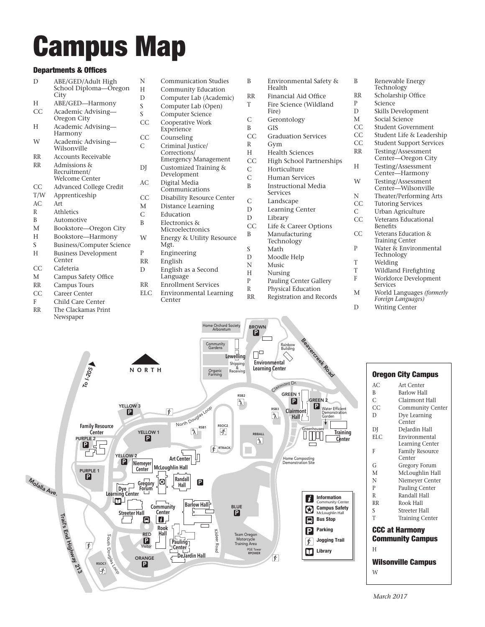## Campus Map

## Departments & Offices

| Departments & UTTICES |                                                     |
|-----------------------|-----------------------------------------------------|
| D                     | ABE/GED/Adult High<br>School Diploma-Oregon<br>City |
| H                     | ABE/GED—Harmony                                     |
| CC                    | Academic Advising-<br>Oregon City                   |
| Н                     | Academic Advising-<br>Harmony                       |
| W                     | Academic Advising-<br>Wilsonville                   |
| <b>RR</b>             | <b>Accounts Receivable</b>                          |
| RR                    | Admissions &<br>Recruitment/<br>Welcome Center      |
| CC.                   | Advanced College Credit                             |
| T/W                   | Apprenticeship                                      |
| AC                    | Art                                                 |
| R                     | Athletics                                           |
| B                     | Automotive                                          |
| M                     | Bookstore-Oregon City                               |
| H                     | Bookstore-Harmony                                   |
| S.                    | Business/Computer Science                           |
| H                     | <b>Business Development</b><br>Center               |
| CC.                   | Cafeteria                                           |

- M Campus Safety Office
- RR Campus Tours
- CC Career Center
- F Child Care Center
- RR The Clackamas Print
- Newspaper
- N Communication Studies H Community Education<br>D Computer Lab (Academ D Computer Lab (Academic)<br>S Computer Lab (Open) S Computer Lab (Open)<br>S Computer Science S Computer Science<br>CC Cooperative Work Cooperative Work Experience CC Counseling C Criminal Justice/ Corrections/ Emergency Management DI Customized Training & Development AC Digital Media Communications CC Disability Resource Center M Distance Learning
- C Education
- B Electronics &
	- Microelectronics
- W Energy & Utility Resource Mgt.
- P Engineering
- RR English
- D English as a Second Language
- RR Enrollment Services
- ELC Environmental Learning
- Center
- B Environmental Safety & Health RR Financial Aid Office T Fire Science (Wildland Fire) C Gerontology B GIS CC Graduation Services R Gym H Health Sciences CC High School Partnerships C Horticulture C Human Services B Instructional Media Services C Landscape D Learning Center D Library CC Life & Career Options B Manufacturing Technology S Math D Moodle Help N Music H Nursing P Pauling Center Gallery<br>R Physical Education Physical Education RR Registration and Records B Renewable Energy Technology RR Scholarship Office P Science D Skills Development M Social Science T Wildland Firefighting
	- CC Student Government CC Student Life & Leadership<br>CC Student Support Services Student Support Services RR Testing/Assessment Center—Oregon City H Testing/Assessment Center—Harmony W Testing/Assessment Center—Wilsonville N Theater/Performing Arts CC Tutoring Services C Urban Agriculture CC Veterans Educational Benefits CC Veterans Education & Training Center P Water & Environmental Technology T Welding
		-
	- F Workforce Development Services
	- M World Languages *(formerly Foreign Languages)*
	- D Writing Center